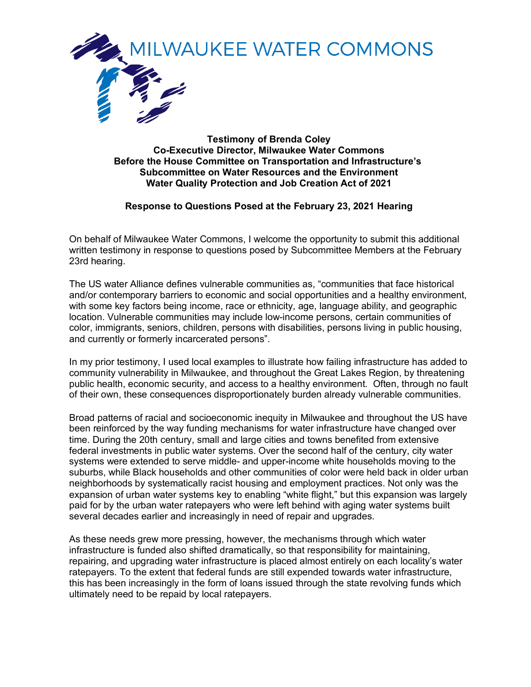

**Testimony of Brenda Coley Co-Executive Director, Milwaukee Water Commons Before the House Committee on Transportation and Infrastructure's Subcommittee on Water Resources and the Environment Water Quality Protection and Job Creation Act of 2021**

# **Response to Questions Posed at the February 23, 2021 Hearing**

On behalf of Milwaukee Water Commons, I welcome the opportunity to submit this additional written testimony in response to questions posed by Subcommittee Members at the February 23rd hearing.

The US water Alliance defines vulnerable communities as, "communities that face historical and/or contemporary barriers to economic and social opportunities and a healthy environment, with some key factors being income, race or ethnicity, age, language ability, and geographic location. Vulnerable communities may include low-income persons, certain communities of color, immigrants, seniors, children, persons with disabilities, persons living in public housing, and currently or formerly incarcerated persons".

In my prior testimony, I used local examples to illustrate how failing infrastructure has added to community vulnerability in Milwaukee, and throughout the Great Lakes Region, by threatening public health, economic security, and access to a healthy environment. Often, through no fault of their own, these consequences disproportionately burden already vulnerable communities.

Broad patterns of racial and socioeconomic inequity in Milwaukee and throughout the US have been reinforced by the way funding mechanisms for water infrastructure have changed over time. During the 20th century, small and large cities and towns benefited from extensive federal investments in public water systems. Over the second half of the century, city water systems were extended to serve middle- and upper-income white households moving to the suburbs, while Black households and other communities of color were held back in older urban neighborhoods by systematically racist housing and employment practices. Not only was the expansion of urban water systems key to enabling "white flight," but this expansion was largely paid for by the urban water ratepayers who were left behind with aging water systems built several decades earlier and increasingly in need of repair and upgrades.

As these needs grew more pressing, however, the mechanisms through which water infrastructure is funded also shifted dramatically, so that responsibility for maintaining, repairing, and upgrading water infrastructure is placed almost entirely on each locality's water ratepayers. To the extent that federal funds are still expended towards water infrastructure, this has been increasingly in the form of loans issued through the state revolving funds which ultimately need to be repaid by local ratepayers.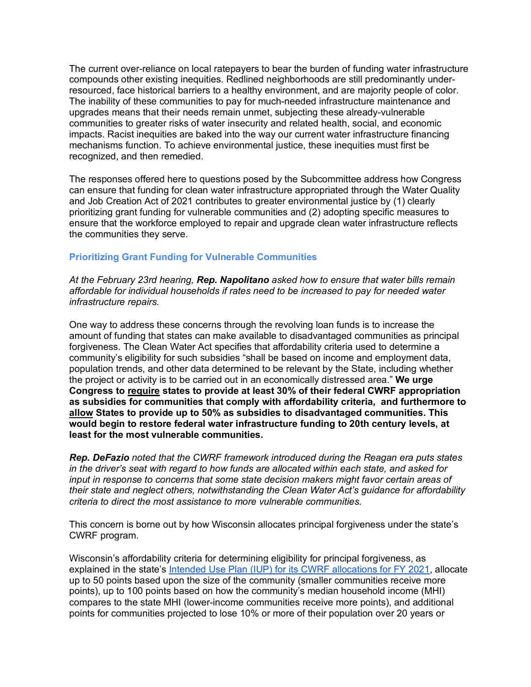The current over-reliance on local ratepayers to bear the burden of funding water infrastructure compounds other existing inequities. Redlined neighborhoods are still predominantly underresourced, face historical barriers to a healthy environment, and are majority people of color. The inability of these communities to pay for much-needed infrastructure maintenance and upgrades means that their needs remain unmet, subjecting these already-vulnerable communities to greater risks of water insecurity and related health, social, and economic impacts. Racist inequities are baked into the way our current water infrastructure financing mechanisms function. To achieve environmental justice, these inequities must first be recognized, and then remedied.

The responses offered here to questions posed by the Subcommittee address how Congress can ensure that funding for clean water infrastructure appropriated through the Water Quality and Job Creation Act of 2021 contributes to greater environmental justice by (1) clearly prioritizing grant funding for vulnerable communities and (2) adopting specific measures to ensure that the workforce employed to repair and upgrade clean water infrastructure reflects the communities they serve.

# **Prioritizing Grant Funding for Vulnerable Communities**

*At the February 23rd hearing, Rep. Napolitano asked how to ensure that water bills remain affordable for individual households if rates need to be increased to pay for needed water infrastructure repairs.*

One way to address these concerns through the revolving loan funds is to increase the amount of funding that states can make available to disadvantaged communities as principal forgiveness. The Clean Water Act specifies that affordability criteria used to determine a community's eligibility for such subsidies "shall be based on income and employment data, population trends, and other data determined to be relevant by the State, including whether the project or activity is to be carried out in an economically distressed area." **We urge Congress to require states to provide at least 30% of their federal CWRF appropriation as subsidies for communities that comply with affordability criteria, and furthermore to allow States to provide up to 50% as subsidies to disadvantaged communities. This would begin to restore federal water infrastructure funding to 20th century levels, at least for the most vulnerable communities.**

*Rep. DeFazio noted that the CWRF framework introduced during the Reagan era puts states in the driver's seat with regard to how funds are allocated within each state, and asked for input in response to concerns that some state decision makers might favor certain areas of their state and neglect others, notwithstanding the Clean Water Act's guidance for affordability criteria to direct the most assistance to more vulnerable communities.*

This concern is borne out by how Wisconsin allocates principal forgiveness under the state's CWRF program.

Wisconsin's affordability criteria for determining eligibility for principal forgiveness, as explained in the state's Intended Use Plan (IUP) for its CWRF allocations for FY 2021, allocate up to 50 points based upon the size of the community (smaller communities receive more points), up to 100 points based on how the community's median household income (MHI) compares to the state MHI (lower-income communities receive more points), and additional points for communities projected to lose 10% or more of their population over 20 years or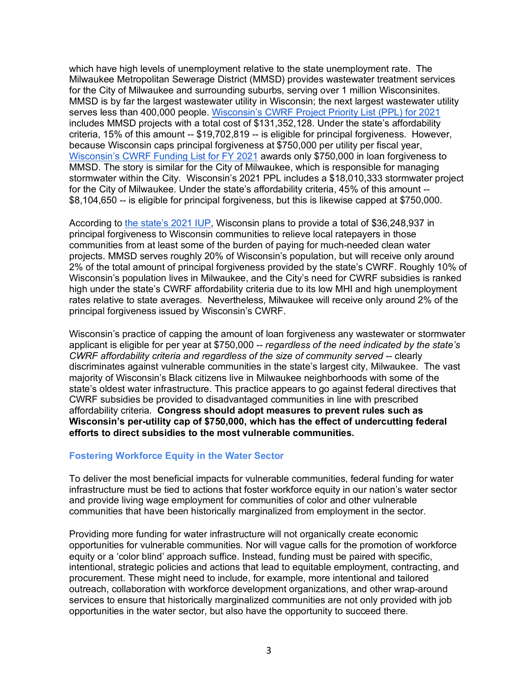which have high levels of unemployment relative to the state unemployment rate. The Milwaukee Metropolitan Sewerage District (MMSD) provides wastewater treatment services for the City of Milwaukee and surrounding suburbs, serving over 1 million Wisconsinites. MMSD is by far the largest wastewater utility in Wisconsin; the next largest wastewater utility serves less than 400,000 people. Wisconsin's CWRF Project Priority List (PPL) for 2021 includes MMSD projects with a total cost of \$131,352,128. Under the state's affordability criteria, 15% of this amount -- \$19,702,819 -- is eligible for principal forgiveness. However, because Wisconsin caps principal forgiveness at \$750,000 per utility per fiscal year, Wisconsin's CWRF Funding List for FY 2021 awards only \$750,000 in loan forgiveness to MMSD. The story is similar for the City of Milwaukee, which is responsible for managing stormwater within the City. Wisconsin's 2021 PPL includes a \$18,010,333 stormwater project for the City of Milwaukee. Under the state's affordability criteria, 45% of this amount -- \$8,104,650 -- is eligible for principal forgiveness, but this is likewise capped at \$750,000.

According to the state's 2021 IUP, Wisconsin plans to provide a total of \$36,248,937 in principal forgiveness to Wisconsin communities to relieve local ratepayers in those communities from at least some of the burden of paying for much-needed clean water projects. MMSD serves roughly 20% of Wisconsin's population, but will receive only around 2% of the total amount of principal forgiveness provided by the state's CWRF. Roughly 10% of Wisconsin's population lives in Milwaukee, and the City's need for CWRF subsidies is ranked high under the state's CWRF affordability criteria due to its low MHI and high unemployment rates relative to state averages. Nevertheless, Milwaukee will receive only around 2% of the principal forgiveness issued by Wisconsin's CWRF.

Wisconsin's practice of capping the amount of loan forgiveness any wastewater or stormwater applicant is eligible for per year at \$750,000 -- *regardless of the need indicated by the state's CWRF affordability criteria and regardless of the size of community served -- clearly* discriminates against vulnerable communities in the state's largest city, Milwaukee. The vast majority of Wisconsin's Black citizens live in Milwaukee neighborhoods with some of the state's oldest water infrastructure. This practice appears to go against federal directives that CWRF subsidies be provided to disadvantaged communities in line with prescribed affordability criteria. **Congress should adopt measures to prevent rules such as Wisconsin's per-utility cap of \$750,000, which has the effect of undercutting federal efforts to direct subsidies to the most vulnerable communities.** 

# **Fostering Workforce Equity in the Water Sector**

To deliver the most beneficial impacts for vulnerable communities, federal funding for water infrastructure must be tied to actions that foster workforce equity in our nation's water sector and provide living wage employment for communities of color and other vulnerable communities that have been historically marginalized from employment in the sector.

Providing more funding for water infrastructure will not organically create economic opportunities for vulnerable communities. Nor will vague calls for the promotion of workforce equity or a 'color blind' approach suffice. Instead, funding must be paired with specific, intentional, strategic policies and actions that lead to equitable employment, contracting, and procurement. These might need to include, for example, more intentional and tailored outreach, collaboration with workforce development organizations, and other wrap-around services to ensure that historically marginalized communities are not only provided with job opportunities in the water sector, but also have the opportunity to succeed there.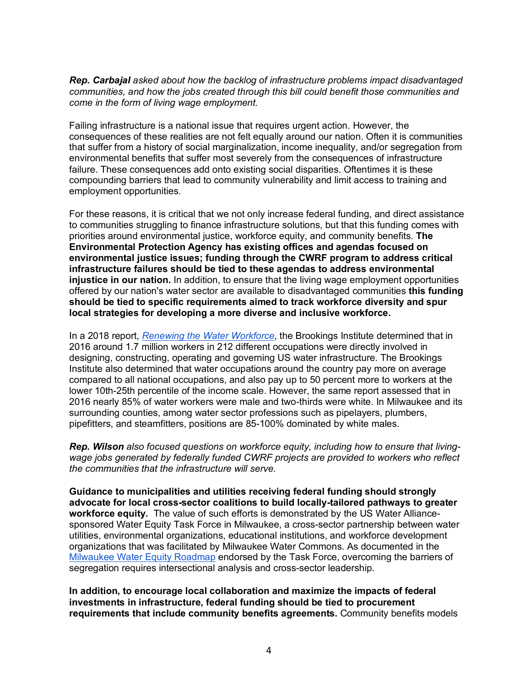*Rep. Carbajal asked about how the backlog of infrastructure problems impact disadvantaged communities, and how the jobs created through this bill could benefit those communities and come in the form of living wage employment.*

Failing infrastructure is a national issue that requires urgent action. However, the consequences of these realities are not felt equally around our nation. Often it is communities that suffer from a history of social marginalization, income inequality, and/or segregation from environmental benefits that suffer most severely from the consequences of infrastructure failure. These consequences add onto existing social disparities. Oftentimes it is these compounding barriers that lead to community vulnerability and limit access to training and employment opportunities.

For these reasons, it is critical that we not only increase federal funding, and direct assistance to communities struggling to finance infrastructure solutions, but that this funding comes with priorities around environmental justice, workforce equity, and community benefits. **The Environmental Protection Agency has existing offices and agendas focused on environmental justice issues; funding through the CWRF program to address critical infrastructure failures should be tied to these agendas to address environmental injustice in our nation.** In addition, to ensure that the living wage employment opportunities offered by our nation's water sector are available to disadvantaged communities **this funding should be tied to specific requirements aimed to track workforce diversity and spur local strategies for developing a more diverse and inclusive workforce.**

In a 2018 report, *Renewing the Water Workforce*, the Brookings Institute determined that in 2016 around 1.7 million workers in 212 different occupations were directly involved in designing, constructing, operating and governing US water infrastructure. The Brookings Institute also determined that water occupations around the country pay more on average compared to all national occupations, and also pay up to 50 percent more to workers at the lower 10th-25th percentile of the income scale. However, the same report assessed that in 2016 nearly 85% of water workers were male and two-thirds were white. In Milwaukee and its surrounding counties, among water sector professions such as pipelayers, plumbers, pipefitters, and steamfitters, positions are 85-100% dominated by white males.

*Rep. Wilson also focused questions on workforce equity, including how to ensure that livingwage jobs generated by federally funded CWRF projects are provided to workers who reflect the communities that the infrastructure will serve.*

**Guidance to municipalities and utilities receiving federal funding should strongly advocate for local cross-sector coalitions to build locally-tailored pathways to greater workforce equity.** The value of such efforts is demonstrated by the US Water Alliancesponsored Water Equity Task Force in Milwaukee, a cross-sector partnership between water utilities, environmental organizations, educational institutions, and workforce development organizations that was facilitated by Milwaukee Water Commons. As documented in the Milwaukee Water Equity Roadmap endorsed by the Task Force, overcoming the barriers of segregation requires intersectional analysis and cross-sector leadership.

**In addition, to encourage local collaboration and maximize the impacts of federal investments in infrastructure, federal funding should be tied to procurement requirements that include community benefits agreements.** Community benefits models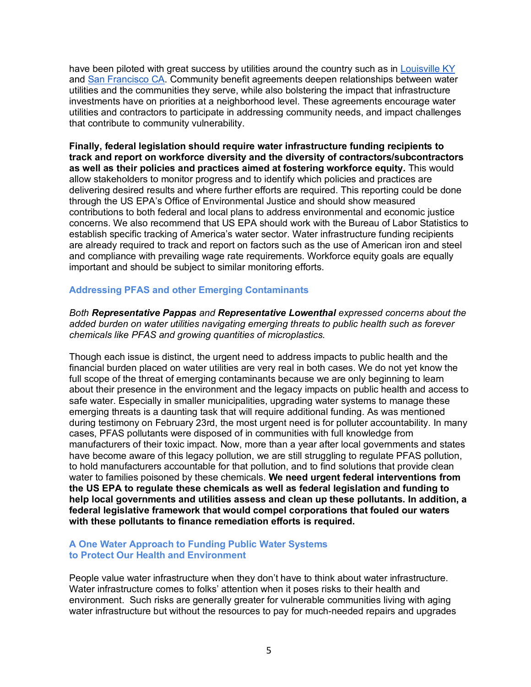have been piloted with great success by utilities around the country such as in Louisville KY and San Francisco CA. Community benefit agreements deepen relationships between water utilities and the communities they serve, while also bolstering the impact that infrastructure investments have on priorities at a neighborhood level. These agreements encourage water utilities and contractors to participate in addressing community needs, and impact challenges that contribute to community vulnerability.

**Finally, federal legislation should require water infrastructure funding recipients to track and report on workforce diversity and the diversity of contractors/subcontractors as well as their policies and practices aimed at fostering workforce equity.** This would allow stakeholders to monitor progress and to identify which policies and practices are delivering desired results and where further efforts are required. This reporting could be done through the US EPA's Office of Environmental Justice and should show measured contributions to both federal and local plans to address environmental and economic justice concerns. We also recommend that US EPA should work with the Bureau of Labor Statistics to establish specific tracking of America's water sector. Water infrastructure funding recipients are already required to track and report on factors such as the use of American iron and steel and compliance with prevailing wage rate requirements. Workforce equity goals are equally important and should be subject to similar monitoring efforts.

# **Addressing PFAS and other Emerging Contaminants**

*Both Representative Pappas and Representative Lowenthal expressed concerns about the added burden on water utilities navigating emerging threats to public health such as forever chemicals like PFAS and growing quantities of microplastics.*

Though each issue is distinct, the urgent need to address impacts to public health and the financial burden placed on water utilities are very real in both cases. We do not yet know the full scope of the threat of emerging contaminants because we are only beginning to learn about their presence in the environment and the legacy impacts on public health and access to safe water. Especially in smaller municipalities, upgrading water systems to manage these emerging threats is a daunting task that will require additional funding. As was mentioned during testimony on February 23rd, the most urgent need is for polluter accountability. In many cases, PFAS pollutants were disposed of in communities with full knowledge from manufacturers of their toxic impact. Now, more than a year after local governments and states have become aware of this legacy pollution, we are still struggling to regulate PFAS pollution, to hold manufacturers accountable for that pollution, and to find solutions that provide clean water to families poisoned by these chemicals. **We need urgent federal interventions from the US EPA to regulate these chemicals as well as federal legislation and funding to help local governments and utilities assess and clean up these pollutants. In addition, a federal legislative framework that would compel corporations that fouled our waters with these pollutants to finance remediation efforts is required.**

# **A One Water Approach to Funding Public Water Systems to Protect Our Health and Environment**

People value water infrastructure when they don't have to think about water infrastructure. Water infrastructure comes to folks' attention when it poses risks to their health and environment. Such risks are generally greater for vulnerable communities living with aging water infrastructure but without the resources to pay for much-needed repairs and upgrades